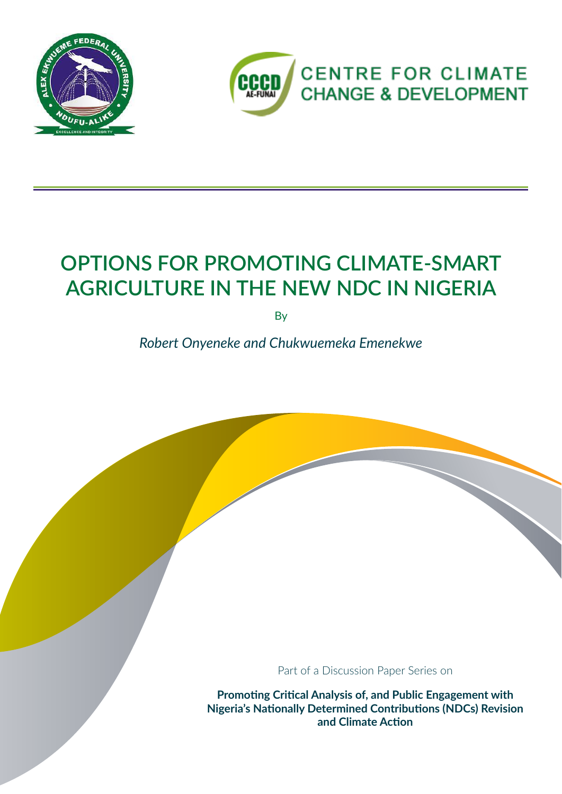



# **OPTIONS FOR PROMOTING CLIMATE-SMART AGRICULTURE IN THE NEW NDC IN NIGERIA**

**By** 

*Robert Onyeneke and Chukwuemeka Emenekwe*

Part of a Discussion Paper Series on

**Promoting Critical Analysis of, and Public Engagement with Nigeria's Nationally Determined Contributions (NDCs) Revision and Climate Action**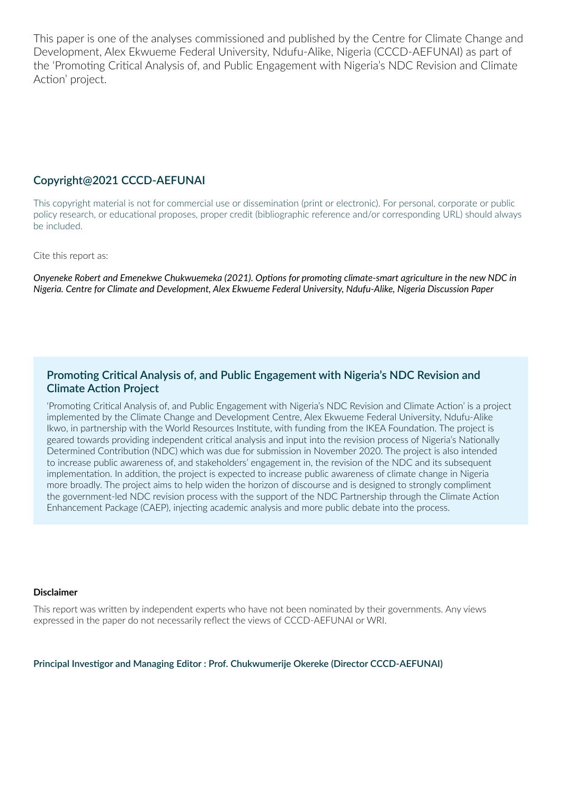This paper is one of the analyses commissioned and published by the Centre for Climate Change and Development, Alex Ekwueme Federal University, Ndufu-Alike, Nigeria (CCCD-AEFUNAI) as part of the 'Promoting Critical Analysis of, and Public Engagement with Nigeria's NDC Revision and Climate Action' project.

#### **Copyright@2021 CCCD-AEFUNAI**

This copyright material is not for commercial use or dissemination (print or electronic). For personal, corporate or public policy research, or educational proposes, proper credit (bibliographic reference and/or corresponding URL) should always be included.

Cite this report as:

*Onyeneke Robert and Emenekwe Chukwuemeka (2021). Options for promoting climate-smart agriculture in the new NDC in Nigeria. Centre for Climate and Development, Alex Ekwueme Federal University, Ndufu-Alike, Nigeria Discussion Paper*

#### **Promoting Critical Analysis of, and Public Engagement with Nigeria's NDC Revision and Climate Action Project**

'Promoting Critical Analysis of, and Public Engagement with Nigeria's NDC Revision and Climate Action' is a project implemented by the Climate Change and Development Centre, Alex Ekwueme Federal University, Ndufu-Alike Ikwo, in partnership with the World Resources Institute, with funding from the IKEA Foundation. The project is geared towards providing independent critical analysis and input into the revision process of Nigeria's Nationally Determined Contribution (NDC) which was due for submission in November 2020. The project is also intended to increase public awareness of, and stakeholders' engagement in, the revision of the NDC and its subsequent implementation. In addition, the project is expected to increase public awareness of climate change in Nigeria more broadly. The project aims to help widen the horizon of discourse and is designed to strongly compliment the government-led NDC revision process with the support of the NDC Partnership through the Climate Action Enhancement Package (CAEP), injecting academic analysis and more public debate into the process.

#### **Disclaimer**

This report was written by independent experts who have not been nominated by their governments. Any views expressed in the paper do not necessarily reflect the views of CCCD-AEFUNAI or WRI.

**Principal Investigor and Managing Editor : Prof. Chukwumerije Okereke (Director CCCD-AEFUNAI)**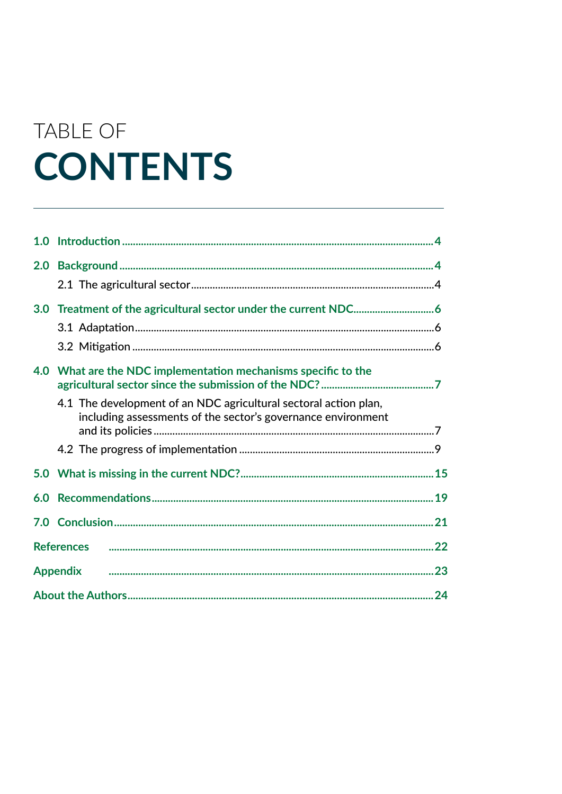# TABLE OF **CONTENTS**

| 1.0 |                                                                                                                                  |  |
|-----|----------------------------------------------------------------------------------------------------------------------------------|--|
| 2.0 |                                                                                                                                  |  |
|     |                                                                                                                                  |  |
|     |                                                                                                                                  |  |
|     |                                                                                                                                  |  |
|     |                                                                                                                                  |  |
|     | 4.0 What are the NDC implementation mechanisms specific to the                                                                   |  |
|     | 4.1 The development of an NDC agricultural sectoral action plan,<br>including assessments of the sector's governance environment |  |
|     |                                                                                                                                  |  |
|     |                                                                                                                                  |  |
| 6.0 |                                                                                                                                  |  |
| 7.0 |                                                                                                                                  |  |
|     | <b>References</b>                                                                                                                |  |
|     |                                                                                                                                  |  |
|     |                                                                                                                                  |  |
|     |                                                                                                                                  |  |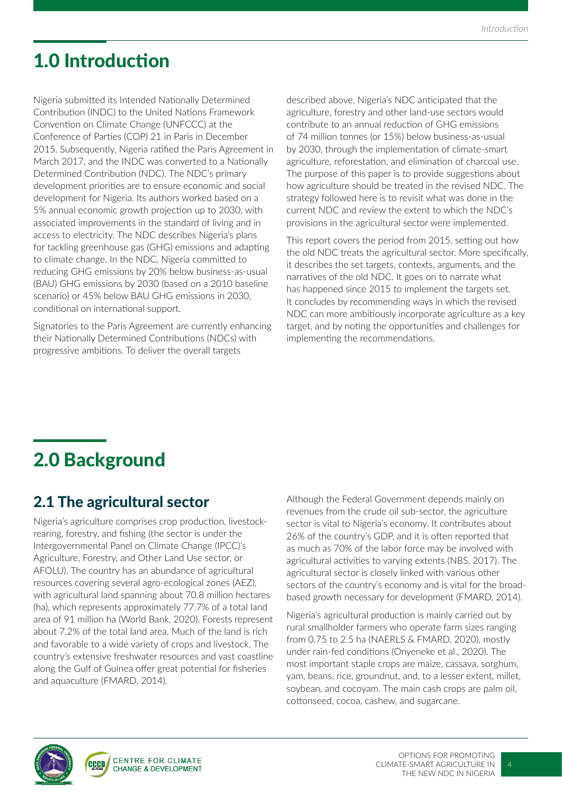# 1.0 Introduction

Nigeria submitted its Intended Nationally Determined Contribution (INDC) to the United Nations Framework Convention on Climate Change (UNFCCC) at the Conference of Parties (COP) 21 in Paris in December 2015. Subsequently, Nigeria ratified the Paris Agreement in March 2017, and the INDC was converted to a Nationally Determined Contribution (NDC). The NDC's primary development priorities are to ensure economic and social development for Nigeria. Its authors worked based on a 5% annual economic growth projection up to 2030, with associated improvements in the standard of living and in access to electricity. The NDC describes Nigeria's plans for tackling greenhouse gas (GHG) emissions and adapting to climate change. In the NDC, Nigeria committed to reducing GHG emissions by 20% below business-as-usual (BAU) GHG emissions by 2030 (based on a 2010 baseline scenario) or 45% below BAU GHG emissions in 2030, conditional on international support.

Signatories to the Paris Agreement are currently enhancing their Nationally Determined Contributions (NDCs) with progressive ambitions. To deliver the overall targets

described above, Nigeria's NDC anticipated that the agriculture, forestry and other land-use sectors would contribute to an annual reduction of GHG emissions of 74 million tonnes (or 15%) below business-as-usual by 2030, through the implementation of climate-smart agriculture, reforestation, and elimination of charcoal use. The purpose of this paper is to provide suggestions about how agriculture should be treated in the revised NDC. The strategy followed here is to revisit what was done in the current NDC and review the extent to which the NDC's provisions in the agricultural sector were implemented.

This report covers the period from 2015, setting out how the old NDC treats the agricultural sector. More specifically, it describes the set targets, contexts, arguments, and the narratives of the old NDC. It goes on to narrate what has happened since 2015 to implement the targets set. It concludes by recommending ways in which the revised NDC can more ambitiously incorporate agriculture as a key target, and by noting the opportunities and challenges for implementing the recommendations.

# 2.0 Background

### 2.1 The agricultural sector

Nigeria's agriculture comprises crop production, livestockrearing, forestry, and fishing (the sector is under the Intergovernmental Panel on Climate Change (IPCC)'s Agriculture, Forestry, and Other Land Use sector, or AFOLU). The country has an abundance of agricultural resources covering several agro-ecological zones (AEZ), with agricultural land spanning about 70.8 million hectares (ha), which represents approximately 77.7% of a total land area of 91 million ha (World Bank, 2020). Forests represent about 7.2% of the total land area. Much of the land is rich and favorable to a wide variety of crops and livestock. The country's extensive freshwater resources and vast coastline along the Gulf of Guinea offer great potential for fisheries and aquaculture (FMARD, 2014).

Although the Federal Government depends mainly on revenues from the crude oil sub-sector, the agriculture sector is vital to Nigeria's economy. It contributes about 26% of the country's GDP, and it is often reported that as much as 70% of the labor force may be involved with agricultural activities to varying extents (NBS, 2017). The agricultural sector is closely linked with various other sectors of the country's economy and is vital for the broadbased growth necessary for development (FMARD, 2014).

Nigeria's agricultural production is mainly carried out by rural smallholder farmers who operate farm sizes ranging from 0.75 to 2.5 ha (NAERLS & FMARD, 2020), mostly under rain-fed conditions (Onyeneke et al., 2020). The most important staple crops are maize, cassava, sorghum, yam, beans, rice, groundnut, and, to a lesser extent, millet, soybean, and cocoyam. The main cash crops are palm oil, cottonseed, cocoa, cashew, and sugarcane.



 $\overline{A}$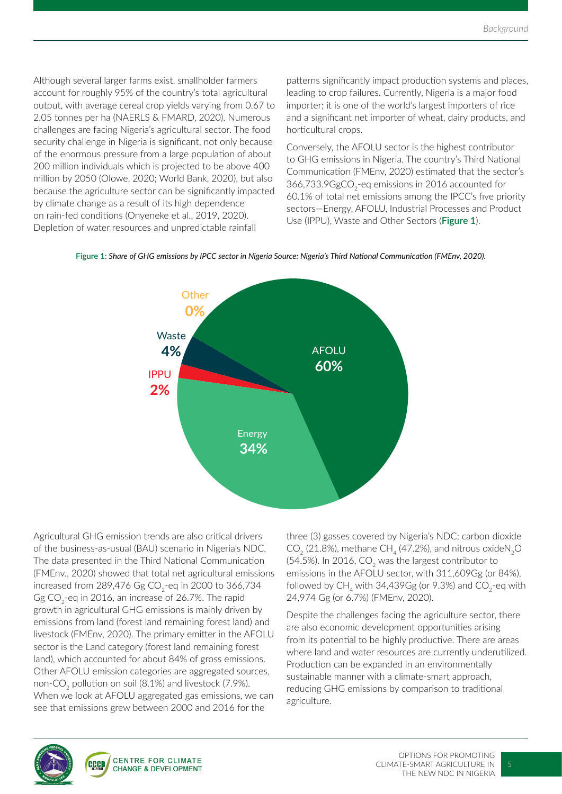Although several larger farms exist, smallholder farmers account for roughly 95% of the country's total agricultural output, with average cereal crop yields varying from 0.67 to 2.05 tonnes per ha (NAERLS & FMARD, 2020). Numerous challenges are facing Nigeria's agricultural sector. The food security challenge in Nigeria is significant, not only because of the enormous pressure from a large population of about 200 million individuals which is projected to be above 400 million by 2050 (Olowe, 2020; World Bank, 2020), but also because the agriculture sector can be significantly impacted by climate change as a result of its high dependence on rain-fed conditions (Onyeneke et al., 2019, 2020). Depletion of water resources and unpredictable rainfall

patterns significantly impact production systems and places, leading to crop failures. Currently, Nigeria is a major food importer; it is one of the world's largest importers of rice and a significant net importer of wheat, dairy products, and horticultural crops.

Conversely, the AFOLU sector is the highest contributor to GHG emissions in Nigeria. The country's Third National Communication (FMEnv, 2020) estimated that the sector's 366,733.9GgCO<sub>2</sub>-eq emissions in 2016 accounted for 60.1% of total net emissions among the IPCC's five priority sectors—Energy, AFOLU, Industrial Processes and Product Use (IPPU), Waste and Other Sectors (**Figure 1**).





Agricultural GHG emission trends are also critical drivers of the business-as-usual (BAU) scenario in Nigeria's NDC. The data presented in the Third National Communication (FMEnv., 2020) showed that total net agricultural emissions increased from 289,476 Gg  $CO<sub>2</sub>$ -eq in 2000 to 366,734 Gg CO<sub>2</sub>-eq in 2016, an increase of 26.7%. The rapid growth in agricultural GHG emissions is mainly driven by emissions from land (forest land remaining forest land) and livestock (FMEnv, 2020). The primary emitter in the AFOLU sector is the Land category (forest land remaining forest land), which accounted for about 84% of gross emissions. Other AFOLU emission categories are aggregated sources, non-CO<sub>2</sub> pollution on soil (8.1%) and livestock (7.9%). When we look at AFOLU aggregated gas emissions, we can see that emissions grew between 2000 and 2016 for the

three (3) gasses covered by Nigeria's NDC; carbon dioxide  $CO<sub>2</sub>$  (21.8%), methane CH<sub>4</sub> (47.2%), and nitrous oxideN<sub>2</sub>O (54.5%). In 2016,  $CO<sub>2</sub>$  was the largest contributor to emissions in the AFOLU sector, with 311,609Gg (or 84%), followed by  $CH_4$  with 34,439Gg (or 9.3%) and  $CO_2$ -eq with 24,974 Gg (or 6.7%) (FMEnv, 2020).

Despite the challenges facing the agriculture sector, there are also economic development opportunities arising from its potential to be highly productive. There are areas where land and water resources are currently underutilized. Production can be expanded in an environmentally sustainable manner with a climate-smart approach, reducing GHG emissions by comparison to traditional agriculture.

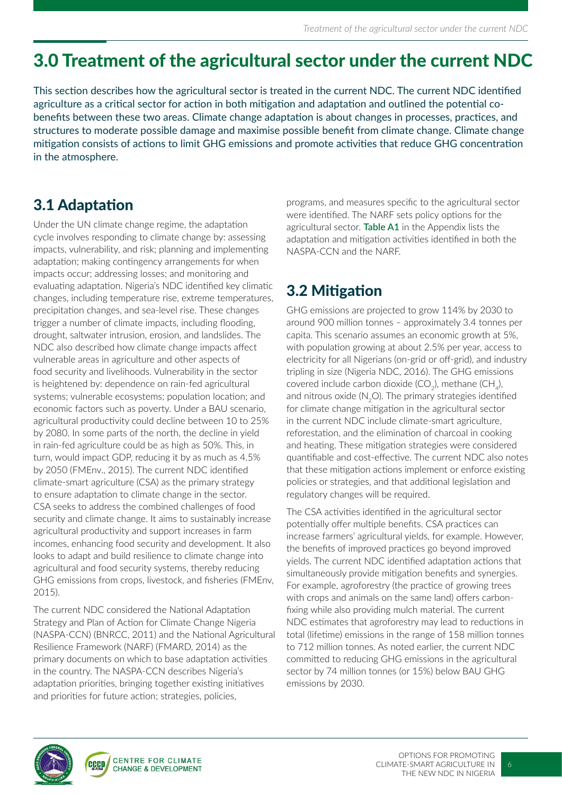### 3.0 Treatment of the agricultural sector under the current NDC

This section describes how the agricultural sector is treated in the current NDC. The current NDC identified agriculture as a critical sector for action in both mitigation and adaptation and outlined the potential cobenefits between these two areas. Climate change adaptation is about changes in processes, practices, and structures to moderate possible damage and maximise possible benefit from climate change. Climate change mitigation consists of actions to limit GHG emissions and promote activities that reduce GHG concentration in the atmosphere.

### 3.1 Adaptation

Under the UN climate change regime, the adaptation cycle involves responding to climate change by: assessing impacts, vulnerability, and risk; planning and implementing adaptation; making contingency arrangements for when impacts occur; addressing losses; and monitoring and evaluating adaptation. Nigeria's NDC identified key climatic changes, including temperature rise, extreme temperatures, precipitation changes, and sea-level rise. These changes trigger a number of climate impacts, including flooding, drought, saltwater intrusion, erosion, and landslides. The NDC also described how climate change impacts affect vulnerable areas in agriculture and other aspects of food security and livelihoods. Vulnerability in the sector is heightened by: dependence on rain-fed agricultural systems; vulnerable ecosystems; population location; and economic factors such as poverty. Under a BAU scenario, agricultural productivity could decline between 10 to 25% by 2080. In some parts of the north, the decline in yield in rain-fed agriculture could be as high as 50%. This, in turn, would impact GDP, reducing it by as much as 4.5% by 2050 (FMEnv., 2015). The current NDC identified climate-smart agriculture (CSA) as the primary strategy to ensure adaptation to climate change in the sector. CSA seeks to address the combined challenges of food security and climate change. It aims to sustainably increase agricultural productivity and support increases in farm incomes, enhancing food security and development. It also looks to adapt and build resilience to climate change into agricultural and food security systems, thereby reducing GHG emissions from crops, livestock, and fisheries (FMEnv, 2015).

The current NDC considered the National Adaptation Strategy and Plan of Action for Climate Change Nigeria (NASPA-CCN) (BNRCC, 2011) and the National Agricultural Resilience Framework (NARF) (FMARD, 2014) as the primary documents on which to base adaptation activities in the country. The NASPA-CCN describes Nigeria's adaptation priorities, bringing together existing initiatives and priorities for future action; strategies, policies,

programs, and measures specific to the agricultural sector were identified. The NARF sets policy options for the agricultural sector. **Table A1** in the Appendix lists the adaptation and mitigation activities identified in both the NASPA-CCN and the NARF.

### 3.2 Mitigation

GHG emissions are projected to grow 114% by 2030 to around 900 million tonnes – approximately 3.4 tonnes per capita. This scenario assumes an economic growth at 5%, with population growing at about 2.5% per year, access to electricity for all Nigerians (on-grid or off-grid), and industry tripling in size (Nigeria NDC, 2016). The GHG emissions covered include carbon dioxide  $(CO_2)$ , methane  $(CH_4)$ , and nitrous oxide  $(N, O)$ . The primary strategies identified for climate change mitigation in the agricultural sector in the current NDC include climate-smart agriculture, reforestation, and the elimination of charcoal in cooking and heating. These mitigation strategies were considered quantifiable and cost-effective. The current NDC also notes that these mitigation actions implement or enforce existing policies or strategies, and that additional legislation and regulatory changes will be required.

The CSA activities identified in the agricultural sector potentially offer multiple benefits. CSA practices can increase farmers' agricultural yields, for example. However, the benefits of improved practices go beyond improved yields. The current NDC identified adaptation actions that simultaneously provide mitigation benefits and synergies. For example, agroforestry (the practice of growing trees with crops and animals on the same land) offers carbonfixing while also providing mulch material. The current NDC estimates that agroforestry may lead to reductions in total (lifetime) emissions in the range of 158 million tonnes to 712 million tonnes. As noted earlier, the current NDC committed to reducing GHG emissions in the agricultural sector by 74 million tonnes (or 15%) below BAU GHG emissions by 2030.

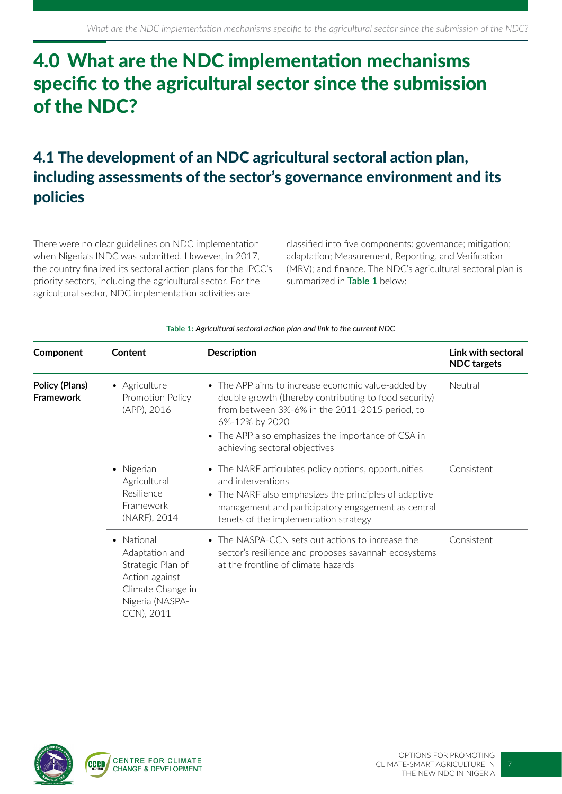## 4.0 What are the NDC implementation mechanisms specific to the agricultural sector since the submission of the NDC?

### 4.1 The development of an NDC agricultural sectoral action plan, including assessments of the sector's governance environment and its policies

There were no clear guidelines on NDC implementation when Nigeria's INDC was submitted. However, in 2017, the country finalized its sectoral action plans for the IPCC's priority sectors, including the agricultural sector. For the agricultural sector, NDC implementation activities are

classified into five components: governance; mitigation; adaptation; Measurement, Reporting, and Verification (MRV); and finance. The NDC's agricultural sectoral plan is summarized in **Table 1** below:

| Component                          | Content                                                                                                                              | <b>Description</b>                                                                                                                                                                                                                                                     | Link with sectoral<br><b>NDC</b> targets |
|------------------------------------|--------------------------------------------------------------------------------------------------------------------------------------|------------------------------------------------------------------------------------------------------------------------------------------------------------------------------------------------------------------------------------------------------------------------|------------------------------------------|
| Policy (Plans)<br><b>Framework</b> | • Agriculture<br>Promotion Policy<br>(APP), 2016                                                                                     | • The APP aims to increase economic value-added by<br>double growth (thereby contributing to food security)<br>from between 3%-6% in the 2011-2015 period, to<br>6%-12% by 2020<br>• The APP also emphasizes the importance of CSA in<br>achieving sectoral objectives | Neutral                                  |
|                                    | • Nigerian<br>Agricultural<br>Resilience<br>Framework<br>(NARF), 2014                                                                | • The NARF articulates policy options, opportunities<br>and interventions<br>• The NARF also emphasizes the principles of adaptive<br>management and participatory engagement as central<br>tenets of the implementation strategy                                      | Consistent                               |
|                                    | National<br>$\bullet$<br>Adaptation and<br>Strategic Plan of<br>Action against<br>Climate Change in<br>Nigeria (NASPA-<br>CCN), 2011 | • The NASPA-CCN sets out actions to increase the<br>sector's resilience and proposes savannah ecosystems<br>at the frontline of climate hazards                                                                                                                        | Consistent                               |

#### **Table 1:** *Agricultural sectoral action plan and link to the current NDC*

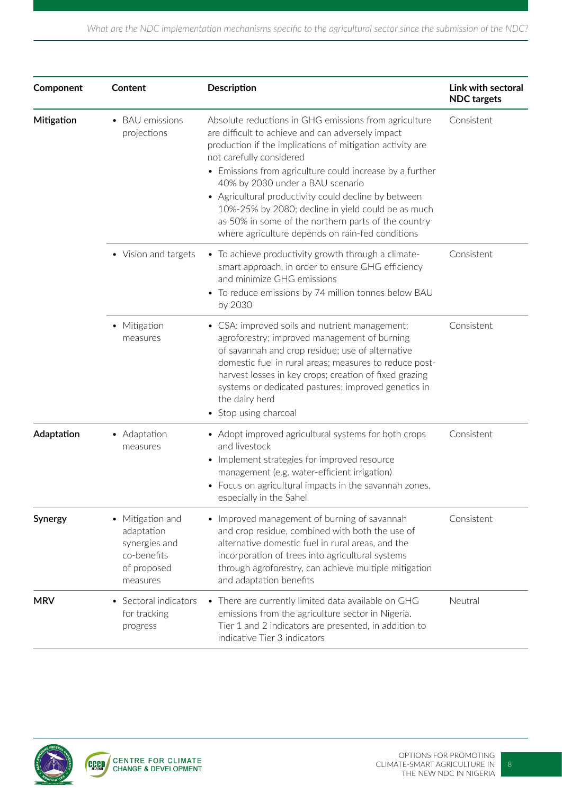| Component  | <b>Content</b>                                                                            | <b>Description</b>                                                                                                                                                                                                                                                                                                                                                       | Link with sectoral<br><b>NDC</b> targets |
|------------|-------------------------------------------------------------------------------------------|--------------------------------------------------------------------------------------------------------------------------------------------------------------------------------------------------------------------------------------------------------------------------------------------------------------------------------------------------------------------------|------------------------------------------|
| Mitigation | <b>BAU</b> emissions<br>projections                                                       | Absolute reductions in GHG emissions from agriculture<br>are difficult to achieve and can adversely impact<br>production if the implications of mitigation activity are<br>not carefully considered                                                                                                                                                                      | Consistent                               |
|            |                                                                                           | • Emissions from agriculture could increase by a further<br>40% by 2030 under a BAU scenario<br>• Agricultural productivity could decline by between<br>10%-25% by 2080; decline in yield could be as much<br>as 50% in some of the northern parts of the country<br>where agriculture depends on rain-fed conditions                                                    |                                          |
|            | • Vision and targets                                                                      | • To achieve productivity growth through a climate-<br>smart approach, in order to ensure GHG efficiency<br>and minimize GHG emissions<br>• To reduce emissions by 74 million tonnes below BAU<br>by 2030                                                                                                                                                                | Consistent                               |
|            | • Mitigation<br>measures                                                                  | • CSA: improved soils and nutrient management;<br>agroforestry; improved management of burning<br>of savannah and crop residue; use of alternative<br>domestic fuel in rural areas; measures to reduce post-<br>harvest losses in key crops; creation of fixed grazing<br>systems or dedicated pastures; improved genetics in<br>the dairy herd<br>• Stop using charcoal | Consistent                               |
| Adaptation | • Adaptation<br>measures                                                                  | • Adopt improved agricultural systems for both crops<br>and livestock<br>• Implement strategies for improved resource<br>management (e.g. water-efficient irrigation)<br>• Focus on agricultural impacts in the savannah zones,<br>especially in the Sahel                                                                                                               | Consistent                               |
| Synergy    | • Mitigation and<br>adaptation<br>synergies and<br>co-benefits<br>of proposed<br>measures | • Improved management of burning of savannah<br>and crop residue, combined with both the use of<br>alternative domestic fuel in rural areas, and the<br>incorporation of trees into agricultural systems<br>through agroforestry, can achieve multiple mitigation<br>and adaptation benefits                                                                             | Consistent                               |
| <b>MRV</b> | Sectoral indicators<br>for tracking<br>progress                                           | • There are currently limited data available on GHG<br>emissions from the agriculture sector in Nigeria.<br>Tier 1 and 2 indicators are presented, in addition to<br>indicative Tier 3 indicators                                                                                                                                                                        | Neutral                                  |

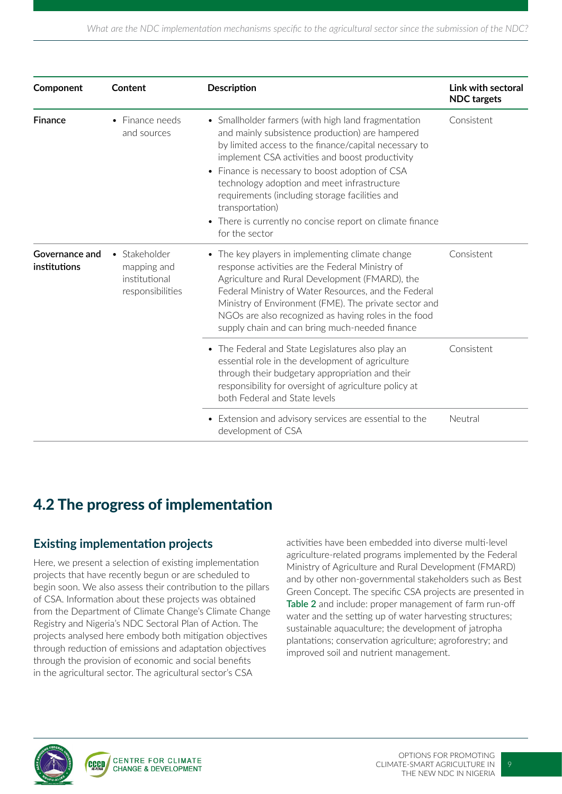| Component                      | Content                                                           | <b>Description</b>                                                                                                                                                                                                                                                                                                                                                                                                                                                       | Link with sectoral<br><b>NDC</b> targets |
|--------------------------------|-------------------------------------------------------------------|--------------------------------------------------------------------------------------------------------------------------------------------------------------------------------------------------------------------------------------------------------------------------------------------------------------------------------------------------------------------------------------------------------------------------------------------------------------------------|------------------------------------------|
| <b>Finance</b>                 | • Finance needs<br>and sources                                    | • Smallholder farmers (with high land fragmentation<br>and mainly subsistence production) are hampered<br>by limited access to the finance/capital necessary to<br>implement CSA activities and boost productivity<br>• Finance is necessary to boost adoption of CSA<br>technology adoption and meet infrastructure<br>requirements (including storage facilities and<br>transportation)<br>• There is currently no concise report on climate finance<br>for the sector | Consistent                               |
| Governance and<br>institutions | • Stakeholder<br>mapping and<br>institutional<br>responsibilities | • The key players in implementing climate change<br>response activities are the Federal Ministry of<br>Agriculture and Rural Development (FMARD), the<br>Federal Ministry of Water Resources, and the Federal<br>Ministry of Environment (FME). The private sector and<br>NGOs are also recognized as having roles in the food<br>supply chain and can bring much-needed finance                                                                                         | Consistent                               |
|                                |                                                                   | • The Federal and State Legislatures also play an<br>essential role in the development of agriculture<br>through their budgetary appropriation and their<br>responsibility for oversight of agriculture policy at<br>both Federal and State levels                                                                                                                                                                                                                       | Consistent                               |
|                                |                                                                   | • Extension and advisory services are essential to the<br>development of CSA                                                                                                                                                                                                                                                                                                                                                                                             | Neutral                                  |

### 4.2 The progress of implementation

#### **Existing implementation projects**

Here, we present a selection of existing implementation projects that have recently begun or are scheduled to begin soon. We also assess their contribution to the pillars of CSA. Information about these projects was obtained from the Department of Climate Change's Climate Change Registry and Nigeria's NDC Sectoral Plan of Action. The projects analysed here embody both mitigation objectives through reduction of emissions and adaptation objectives through the provision of economic and social benefits in the agricultural sector. The agricultural sector's CSA

activities have been embedded into diverse multi-level agriculture-related programs implemented by the Federal Ministry of Agriculture and Rural Development (FMARD) and by other non-governmental stakeholders such as Best Green Concept. The specific CSA projects are presented in **Table 2** and include: proper management of farm run-off water and the setting up of water harvesting structures; sustainable aquaculture; the development of jatropha plantations; conservation agriculture; agroforestry; and improved soil and nutrient management.

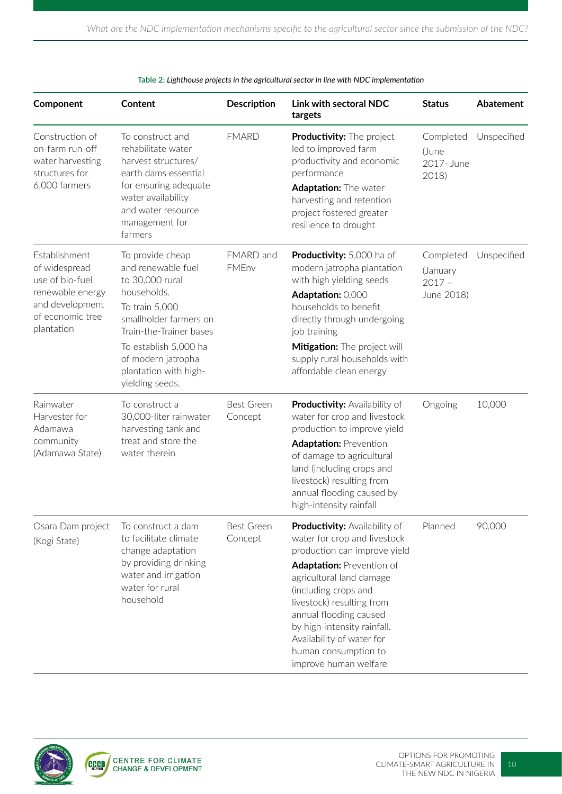| Component                                                                                                                  | Content                                                                                                                                                                                                                                    | <b>Description</b>           | Link with sectoral NDC<br>targets                                                                                                                                                                                                                                                                                                                                | <b>Status</b>                                   | Abatement   |
|----------------------------------------------------------------------------------------------------------------------------|--------------------------------------------------------------------------------------------------------------------------------------------------------------------------------------------------------------------------------------------|------------------------------|------------------------------------------------------------------------------------------------------------------------------------------------------------------------------------------------------------------------------------------------------------------------------------------------------------------------------------------------------------------|-------------------------------------------------|-------------|
| Construction of<br>on-farm run-off<br>water harvesting<br>structures for<br>6,000 farmers                                  | To construct and<br>rehabilitate water<br>harvest structures/<br>earth dams essential<br>for ensuring adequate<br>water availability<br>and water resource<br>management for<br>farmers                                                    | <b>FMARD</b>                 | Productivity: The project<br>led to improved farm<br>productivity and economic<br>performance<br>Adaptation: The water<br>harvesting and retention<br>project fostered greater<br>resilience to drought                                                                                                                                                          | Completed<br>(June<br>2017- June<br>2018)       | Unspecified |
| Establishment<br>of widespread<br>use of bio-fuel<br>renewable energy<br>and development<br>of economic tree<br>plantation | To provide cheap<br>and renewable fuel<br>to 30,000 rural<br>households.<br>To train 5,000<br>smallholder farmers on<br>Train-the-Trainer bases<br>To establish 5,000 ha<br>of modern jatropha<br>plantation with high-<br>yielding seeds. | FMARD and<br>FMEnv           | Productivity: 5,000 ha of<br>modern jatropha plantation<br>with high yielding seeds<br>Adaptation: 0,000<br>households to benefit<br>directly through undergoing<br>job training<br>Mitigation: The project will<br>supply rural households with<br>affordable clean energy                                                                                      | Completed<br>(January<br>$2017 -$<br>June 2018) | Unspecified |
| Rainwater<br>Harvester for<br>Adamawa<br>community<br>(Adamawa State)                                                      | To construct a<br>30,000-liter rainwater<br>harvesting tank and<br>treat and store the<br>water therein                                                                                                                                    | <b>Best Green</b><br>Concept | <b>Productivity: Availability of</b><br>water for crop and livestock<br>production to improve yield<br><b>Adaptation: Prevention</b><br>of damage to agricultural<br>land (including crops and<br>livestock) resulting from<br>annual flooding caused by<br>high-intensity rainfall                                                                              | Ongoing                                         | 10,000      |
| Osara Dam project<br>(Kogi State)                                                                                          | To construct a dam<br>to facilitate climate<br>change adaptation<br>by providing drinking<br>water and irrigation<br>water for rural<br>household                                                                                          | <b>Best Green</b><br>Concept | <b>Productivity: Availability of</b><br>water for crop and livestock<br>production can improve yield<br><b>Adaptation: Prevention of</b><br>agricultural land damage<br>(including crops and<br>livestock) resulting from<br>annual flooding caused<br>by high-intensity rainfall.<br>Availability of water for<br>human consumption to<br>improve human welfare | Planned                                         | 90,000      |

**Table 2:** *Lighthouse projects in the agricultural sector in line with NDC implementation*

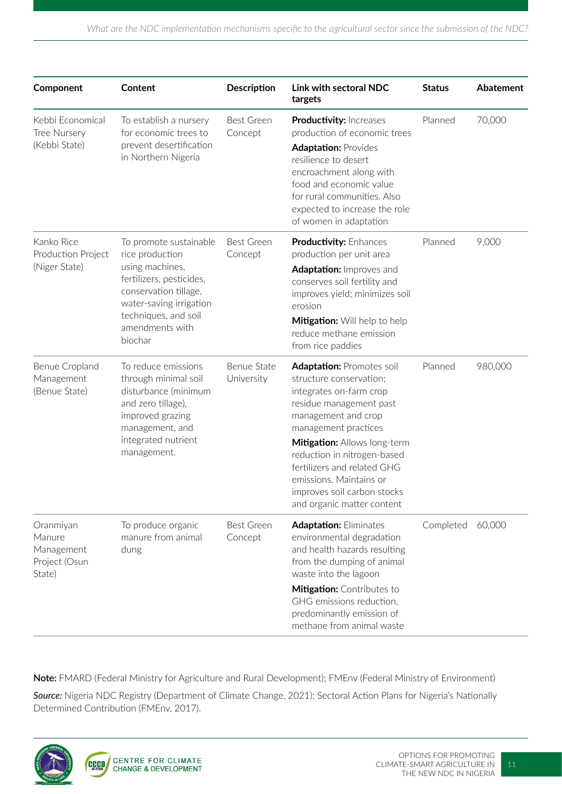| Component                                                    | Content                                                                                                                                                                                            | <b>Description</b>               | Link with sectoral NDC<br>targets                                                                                                                                                                                                                                                                                                                      | <b>Status</b> | <b>Abatement</b> |
|--------------------------------------------------------------|----------------------------------------------------------------------------------------------------------------------------------------------------------------------------------------------------|----------------------------------|--------------------------------------------------------------------------------------------------------------------------------------------------------------------------------------------------------------------------------------------------------------------------------------------------------------------------------------------------------|---------------|------------------|
| Kebbi Economical<br>Tree Nursery<br>(Kebbi State)            | To establish a nursery<br>for economic trees to<br>prevent desertification<br>in Northern Nigeria                                                                                                  | <b>Best Green</b><br>Concept     | <b>Productivity: Increases</b><br>production of economic trees<br><b>Adaptation: Provides</b><br>resilience to desert<br>encroachment along with<br>food and economic value<br>for rural communities. Also<br>expected to increase the role<br>of women in adaptation                                                                                  | Planned       | 70,000           |
| Kanko Rice<br>Production Project<br>(Niger State)            | To promote sustainable<br>rice production<br>using machines,<br>fertilizers, pesticides,<br>conservation tillage,<br>water-saving irrigation<br>techniques, and soil<br>amendments with<br>biochar | <b>Best Green</b><br>Concept     | <b>Productivity: Enhances</b><br>production per unit area<br>Adaptation: Improves and<br>conserves soil fertility and<br>improves yield; minimizes soil<br>erosion<br>Mitigation: Will help to help<br>reduce methane emission<br>from rice paddies                                                                                                    | Planned       | 9,000            |
| Benue Cropland<br>Management<br>(Benue State)                | To reduce emissions<br>through minimal soil<br>disturbance (minimum<br>and zero tillage),<br>improved grazing<br>management, and<br>integrated nutrient<br>management.                             | <b>Benue State</b><br>University | <b>Adaptation: Promotes soil</b><br>structure conservation;<br>integrates on-farm crop<br>residue management past<br>management and crop<br>management practices<br>Mitigation: Allows long-term<br>reduction in nitrogen-based<br>fertilizers and related GHG<br>emissions. Maintains or<br>improves soil carbon stocks<br>and organic matter content | Planned       | 980,000          |
| Oranmiyan<br>Manure<br>Management<br>Project (Osun<br>State) | To produce organic<br>manure from animal<br>dung                                                                                                                                                   | <b>Best Green</b><br>Concept     | <b>Adaptation: Eliminates</b><br>environmental degradation<br>and health hazards resulting<br>from the dumping of animal<br>waste into the lagoon<br>Mitigation: Contributes to<br>GHG emissions reduction,<br>predominantly emission of<br>methane from animal waste                                                                                  | Completed     | 60,000           |

**Note:** FMARD (Federal Ministry for Agriculture and Rural Development); FMEnv (Federal Ministry of Environment)

*Source:* Nigeria NDC Registry (Department of Climate Change, 2021); Sectoral Action Plans for Nigeria's Nationally Determined Contribution (FMEnv, 2017).

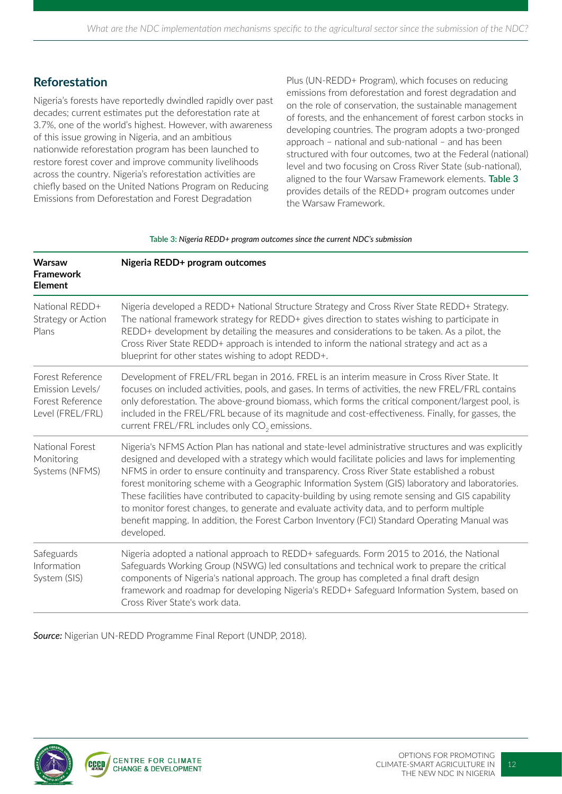#### **Reforestation**

Nigeria's forests have reportedly dwindled rapidly over past decades; current estimates put the deforestation rate at 3.7%, one of the world's highest. However, with awareness of this issue growing in Nigeria, and an ambitious nationwide reforestation program has been launched to restore forest cover and improve community livelihoods across the country. Nigeria's reforestation activities are chiefly based on the United Nations Program on Reducing Emissions from Deforestation and Forest Degradation

Plus (UN-REDD+ Program), which focuses on reducing emissions from deforestation and forest degradation and on the role of conservation, the sustainable management of forests, and the enhancement of forest carbon stocks in developing countries. The program adopts a two-pronged approach – national and sub-national – and has been structured with four outcomes, two at the Federal (national) level and two focusing on Cross River State (sub-national), aligned to the four Warsaw Framework elements. **Table 3** provides details of the REDD+ program outcomes under the Warsaw Framework.

| <b>Warsaw</b><br><b>Framework</b><br><b>Element</b>                          | Nigeria REDD+ program outcomes                                                                                                                                                                                                                                                                                                                                                                                                                                                                                                                                                                                                                                                                                                |
|------------------------------------------------------------------------------|-------------------------------------------------------------------------------------------------------------------------------------------------------------------------------------------------------------------------------------------------------------------------------------------------------------------------------------------------------------------------------------------------------------------------------------------------------------------------------------------------------------------------------------------------------------------------------------------------------------------------------------------------------------------------------------------------------------------------------|
| National REDD+<br>Strategy or Action<br>Plans                                | Nigeria developed a REDD+ National Structure Strategy and Cross River State REDD+ Strategy.<br>The national framework strategy for REDD+ gives direction to states wishing to participate in<br>REDD+ development by detailing the measures and considerations to be taken. As a pilot, the<br>Cross River State REDD+ approach is intended to inform the national strategy and act as a<br>blueprint for other states wishing to adopt REDD+.                                                                                                                                                                                                                                                                                |
| Forest Reference<br>Emission Levels/<br>Forest Reference<br>Level (FREL/FRL) | Development of FREL/FRL began in 2016. FREL is an interim measure in Cross River State. It<br>focuses on included activities, pools, and gases. In terms of activities, the new FREL/FRL contains<br>only deforestation. The above-ground biomass, which forms the critical component/largest pool, is<br>included in the FREL/FRL because of its magnitude and cost-effectiveness. Finally, for gasses, the<br>current FREL/FRL includes only CO <sub>2</sub> emissions.                                                                                                                                                                                                                                                     |
| National Forest<br>Monitoring<br>Systems (NFMS)                              | Nigeria's NFMS Action Plan has national and state-level administrative structures and was explicitly<br>designed and developed with a strategy which would facilitate policies and laws for implementing<br>NFMS in order to ensure continuity and transparency. Cross River State established a robust<br>forest monitoring scheme with a Geographic Information System (GIS) laboratory and laboratories.<br>These facilities have contributed to capacity-building by using remote sensing and GIS capability<br>to monitor forest changes, to generate and evaluate activity data, and to perform multiple<br>benefit mapping. In addition, the Forest Carbon Inventory (FCI) Standard Operating Manual was<br>developed. |
| Safeguards<br>Information<br>System (SIS)                                    | Nigeria adopted a national approach to REDD+ safeguards. Form 2015 to 2016, the National<br>Safeguards Working Group (NSWG) led consultations and technical work to prepare the critical<br>components of Nigeria's national approach. The group has completed a final draft design<br>framework and roadmap for developing Nigeria's REDD+ Safeguard Information System, based on<br>Cross River State's work data.                                                                                                                                                                                                                                                                                                          |

**Table 3:** *Nigeria REDD+ program outcomes since the current NDC's submission*

*Source:* Nigerian UN-REDD Programme Final Report (UNDP, 2018).

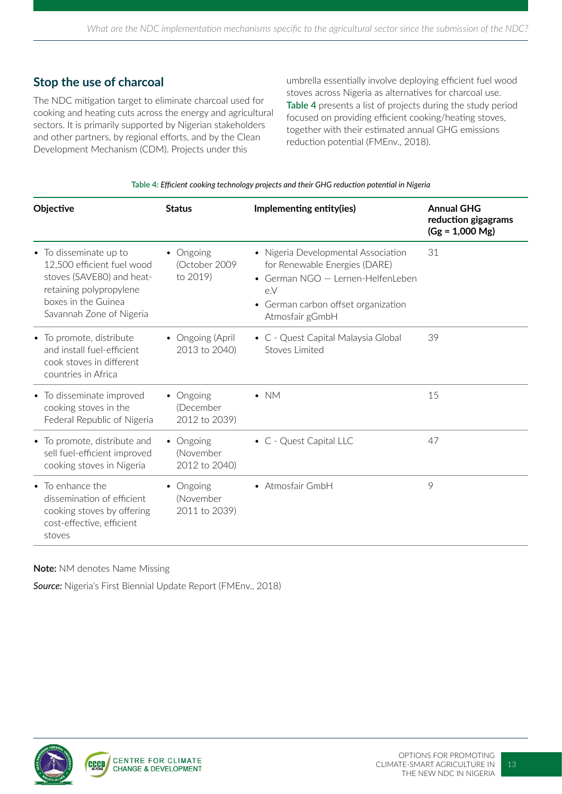#### **Stop the use of charcoal**

The NDC mitigation target to eliminate charcoal used for cooking and heating cuts across the energy and agricultural sectors. It is primarily supported by Nigerian stakeholders and other partners, by regional efforts, and by the Clean Development Mechanism (CDM). Projects under this

umbrella essentially involve deploying efficient fuel wood stoves across Nigeria as alternatives for charcoal use. **Table 4** presents a list of projects during the study period focused on providing efficient cooking/heating stoves, together with their estimated annual GHG emissions reduction potential (FMEnv., 2018).

#### **Table 4:** *Efficient cooking technology projects and their GHG reduction potential in Nigeria*

| Objective                                                                                                                                                       | <b>Status</b>                           | Implementing entity(ies)                                                                                                                                                              | <b>Annual GHG</b><br>reduction gigagrams<br>$(Gg = 1,000$ Mg) |
|-----------------------------------------------------------------------------------------------------------------------------------------------------------------|-----------------------------------------|---------------------------------------------------------------------------------------------------------------------------------------------------------------------------------------|---------------------------------------------------------------|
| • To disseminate up to<br>12,500 efficient fuel wood<br>stoves (SAVE80) and heat-<br>retaining polypropylene<br>boxes in the Guinea<br>Savannah Zone of Nigeria | • Ongoing<br>(October 2009<br>to 2019)  | • Nigeria Developmental Association<br>for Renewable Energies (DARE)<br>• German NGO - Lernen-HelfenLeben<br>e.V<br>German carbon offset organization<br>$\bullet$<br>Atmosfair gGmbH | 31                                                            |
| • To promote, distribute<br>and install fuel-efficient<br>cook stoves in different<br>countries in Africa                                                       | • Ongoing (April<br>2013 to 2040)       | • C - Quest Capital Malaysia Global<br>Stoves Limited                                                                                                                                 | 39                                                            |
| • To disseminate improved<br>cooking stoves in the<br>Federal Republic of Nigeria                                                                               | • Ongoing<br>(December<br>2012 to 2039) | $\bullet$ NM                                                                                                                                                                          | 15                                                            |
| • To promote, distribute and<br>sell fuel-efficient improved<br>cooking stoves in Nigeria                                                                       | • Ongoing<br>(November<br>2012 to 2040) | • C - Quest Capital LLC                                                                                                                                                               | 47                                                            |
| • To enhance the<br>dissemination of efficient<br>cooking stoves by offering<br>cost-effective, efficient<br>stoves                                             | • Ongoing<br>(November<br>2011 to 2039) | • Atmosfair GmbH                                                                                                                                                                      | 9                                                             |

#### **Note:** NM denotes Name Missing

*Source:* Nigeria's First Biennial Update Report (FMEnv., 2018)

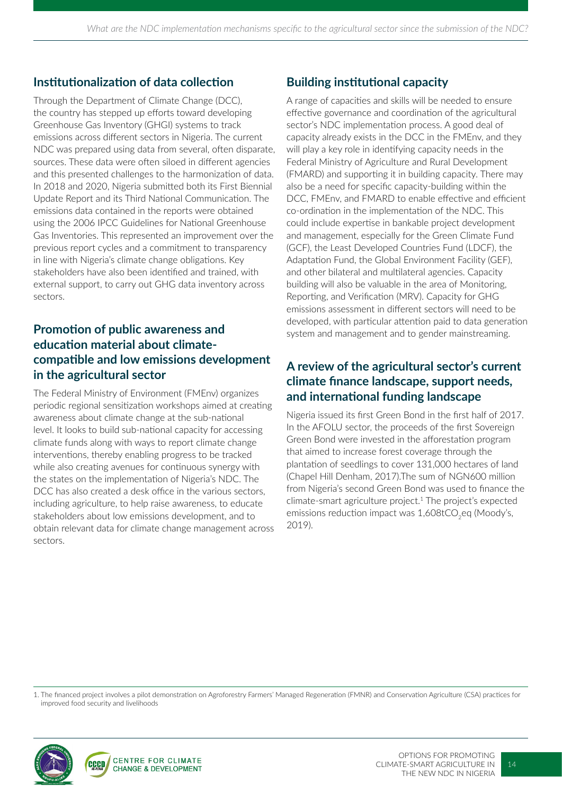#### **Institutionalization of data collection**

Through the Department of Climate Change (DCC), the country has stepped up efforts toward developing Greenhouse Gas Inventory (GHGI) systems to track emissions across different sectors in Nigeria. The current NDC was prepared using data from several, often disparate, sources. These data were often siloed in different agencies and this presented challenges to the harmonization of data. In 2018 and 2020, Nigeria submitted both its First Biennial Update Report and its Third National Communication. The emissions data contained in the reports were obtained using the 2006 IPCC Guidelines for National Greenhouse Gas Inventories. This represented an improvement over the previous report cycles and a commitment to transparency in line with Nigeria's climate change obligations. Key stakeholders have also been identified and trained, with external support, to carry out GHG data inventory across sectors.

#### **Promotion of public awareness and education material about climatecompatible and low emissions development in the agricultural sector**

The Federal Ministry of Environment (FMEnv) organizes periodic regional sensitization workshops aimed at creating awareness about climate change at the sub-national level. It looks to build sub-national capacity for accessing climate funds along with ways to report climate change interventions, thereby enabling progress to be tracked while also creating avenues for continuous synergy with the states on the implementation of Nigeria's NDC. The DCC has also created a desk office in the various sectors, including agriculture, to help raise awareness, to educate stakeholders about low emissions development, and to obtain relevant data for climate change management across sectors.

### **Building institutional capacity**

A range of capacities and skills will be needed to ensure effective governance and coordination of the agricultural sector's NDC implementation process. A good deal of capacity already exists in the DCC in the FMEnv, and they will play a key role in identifying capacity needs in the Federal Ministry of Agriculture and Rural Development (FMARD) and supporting it in building capacity. There may also be a need for specific capacity-building within the DCC, FMEnv, and FMARD to enable effective and efficient co-ordination in the implementation of the NDC. This could include expertise in bankable project development and management, especially for the Green Climate Fund (GCF), the Least Developed Countries Fund (LDCF), the Adaptation Fund, the Global Environment Facility (GEF), and other bilateral and multilateral agencies. Capacity building will also be valuable in the area of Monitoring, Reporting, and Verification (MRV). Capacity for GHG emissions assessment in different sectors will need to be developed, with particular attention paid to data generation system and management and to gender mainstreaming.

#### **A review of the agricultural sector's current climate finance landscape, support needs, and international funding landscape**

Nigeria issued its first Green Bond in the first half of 2017. In the AFOLU sector, the proceeds of the first Sovereign Green Bond were invested in the afforestation program that aimed to increase forest coverage through the plantation of seedlings to cover 131,000 hectares of land (Chapel Hill Denham, 2017).The sum of NGN600 million from Nigeria's second Green Bond was used to finance the climate-smart agriculture project.1 The project's expected emissions reduction impact was 1,608tCO<sub>2</sub>eq (Moody's, 2019).

1. The financed project involves a pilot demonstration on Agroforestry Farmers' Managed Regeneration (FMNR) and Conservation Agriculture (CSA) practices for improved food security and livelihoods

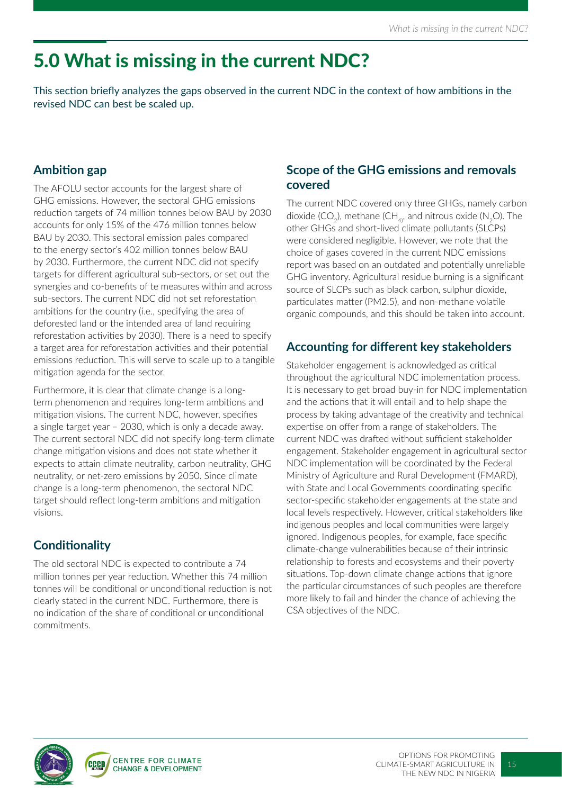# 5.0 What is missing in the current NDC?

This section briefly analyzes the gaps observed in the current NDC in the context of how ambitions in the revised NDC can best be scaled up.

### **Ambition gap**

The AFOLU sector accounts for the largest share of GHG emissions. However, the sectoral GHG emissions reduction targets of 74 million tonnes below BAU by 2030 accounts for only 15% of the 476 million tonnes below BAU by 2030. This sectoral emission pales compared to the energy sector's 402 million tonnes below BAU by 2030. Furthermore, the current NDC did not specify targets for different agricultural sub-sectors, or set out the synergies and co-benefits of te measures within and across sub-sectors. The current NDC did not set reforestation ambitions for the country (i.e., specifying the area of deforested land or the intended area of land requiring reforestation activities by 2030). There is a need to specify a target area for reforestation activities and their potential emissions reduction. This will serve to scale up to a tangible mitigation agenda for the sector.

Furthermore, it is clear that climate change is a longterm phenomenon and requires long-term ambitions and mitigation visions. The current NDC, however, specifies a single target year – 2030, which is only a decade away. The current sectoral NDC did not specify long-term climate change mitigation visions and does not state whether it expects to attain climate neutrality, carbon neutrality, GHG neutrality, or net-zero emissions by 2050. Since climate change is a long-term phenomenon, the sectoral NDC target should reflect long-term ambitions and mitigation visions.

### **Conditionality**

The old sectoral NDC is expected to contribute a 74 million tonnes per year reduction. Whether this 74 million tonnes will be conditional or unconditional reduction is not clearly stated in the current NDC. Furthermore, there is no indication of the share of conditional or unconditional commitments.

#### **Scope of the GHG emissions and removals covered**

The current NDC covered only three GHGs, namely carbon dioxide (CO<sub>2</sub>), methane (CH<sub>4</sub>, and nitrous oxide (N<sub>2</sub>O). The other GHGs and short-lived climate pollutants (SLCPs) were considered negligible. However, we note that the choice of gases covered in the current NDC emissions report was based on an outdated and potentially unreliable GHG inventory. Agricultural residue burning is a significant source of SLCPs such as black carbon, sulphur dioxide, particulates matter (PM2.5), and non-methane volatile organic compounds, and this should be taken into account.

### **Accounting for different key stakeholders**

Stakeholder engagement is acknowledged as critical throughout the agricultural NDC implementation process. It is necessary to get broad buy-in for NDC implementation and the actions that it will entail and to help shape the process by taking advantage of the creativity and technical expertise on offer from a range of stakeholders. The current NDC was drafted without sufficient stakeholder engagement. Stakeholder engagement in agricultural sector NDC implementation will be coordinated by the Federal Ministry of Agriculture and Rural Development (FMARD), with State and Local Governments coordinating specific sector-specific stakeholder engagements at the state and local levels respectively. However, critical stakeholders like indigenous peoples and local communities were largely ignored. Indigenous peoples, for example, face specific climate-change vulnerabilities because of their intrinsic relationship to forests and ecosystems and their poverty situations. Top-down climate change actions that ignore the particular circumstances of such peoples are therefore more likely to fail and hinder the chance of achieving the CSA objectives of the NDC.

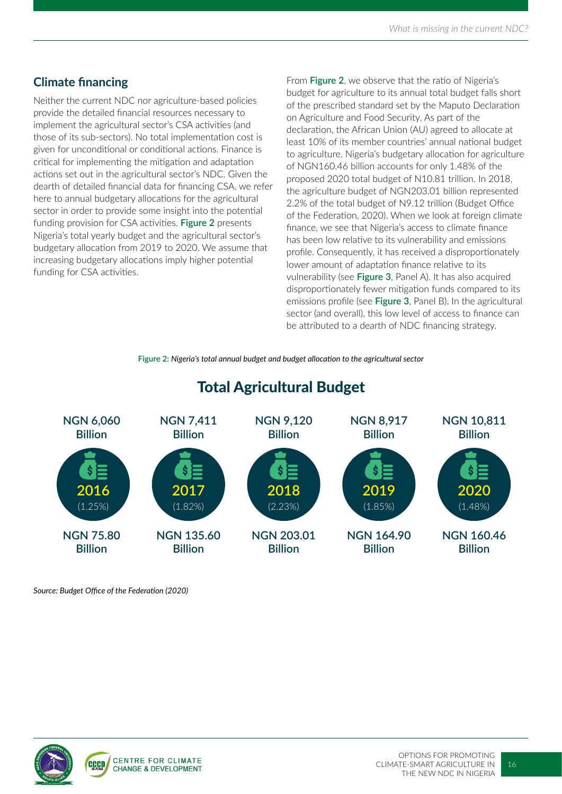### **Climate financing**

Neither the current NDC nor agriculture-based policies provide the detailed financial resources necessary to implement the agricultural sector's CSA activities (and those of its sub-sectors). No total implementation cost is given for unconditional or conditional actions. Finance is critical for implementing the mitigation and adaptation actions set out in the agricultural sector's NDC. Given the dearth of detailed financial data for financing CSA, we refer here to annual budgetary allocations for the agricultural sector in order to provide some insight into the potential funding provision for CSA activities. **Figure 2** presents Nigeria's total yearly budget and the agricultural sector's budgetary allocation from 2019 to 2020. We assume that increasing budgetary allocations imply higher potential funding for CSA activities.

From **Figure 2**, we observe that the ratio of Nigeria's budget for agriculture to its annual total budget falls short of the prescribed standard set by the Maputo Declaration on Agriculture and Food Security. As part of the declaration, the African Union (AU) agreed to allocate at least 10% of its member countries' annual national budget to agriculture. Nigeria's budgetary allocation for agriculture of NGN160.46 billion accounts for only 1.48% of the proposed 2020 total budget of N10.81 trillion. In 2018, the agriculture budget of NGN203.01 billion represented 2.2% of the total budget of N9.12 trillion (Budget Office of the Federation, 2020). When we look at foreign climate finance, we see that Nigeria's access to climate finance has been low relative to its vulnerability and emissions profile. Consequently, it has received a disproportionately lower amount of adaptation finance relative to its vulnerability (see **Figure 3**, Panel A). It has also acquired disproportionately fewer mitigation funds compared to its emissions profile (see **Figure 3**, Panel B). In the agricultural sector (and overall), this low level of access to finance can be attributed to a dearth of NDC financing strategy.

**Figure 2:** *Nigeria's total annual budget and budget allocation to the agricultural sector* 



### Total Agricultural Budget

*Source: Budget Office of the Federation (2020)*

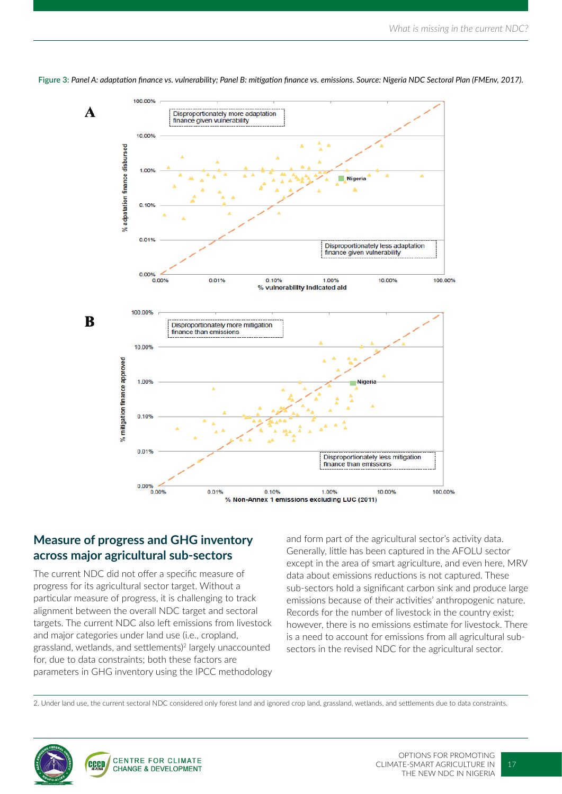

**Figure 3:** *Panel A: adaptation finance vs. vulnerability; Panel B: mitigation finance vs. emissions. Source: Nigeria NDC Sectoral Plan (FMEnv, 2017).*

#### **Measure of progress and GHG inventory across major agricultural sub-sectors**

The current NDC did not offer a specific measure of progress for its agricultural sector target. Without a particular measure of progress, it is challenging to track alignment between the overall NDC target and sectoral targets. The current NDC also left emissions from livestock and major categories under land use (i.e., cropland, grassland, wetlands, and settlements)2 largely unaccounted for, due to data constraints; both these factors are parameters in GHG inventory using the IPCC methodology

and form part of the agricultural sector's activity data. Generally, little has been captured in the AFOLU sector except in the area of smart agriculture, and even here, MRV data about emissions reductions is not captured. These sub-sectors hold a significant carbon sink and produce large emissions because of their activities' anthropogenic nature. Records for the number of livestock in the country exist; however, there is no emissions estimate for livestock. There is a need to account for emissions from all agricultural subsectors in the revised NDC for the agricultural sector.

2. Under land use, the current sectoral NDC considered only forest land and ignored crop land, grassland, wetlands, and settlements due to data constraints.

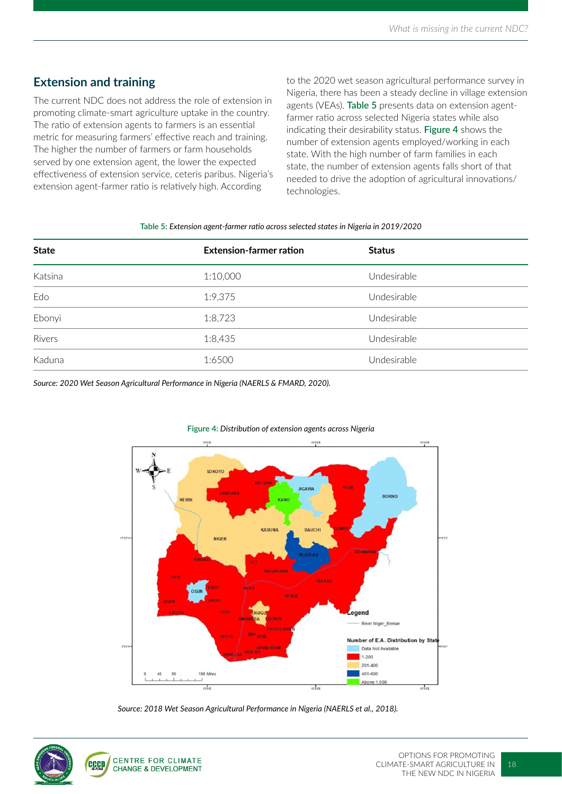#### **Extension and training**

The current NDC does not address the role of extension in promoting climate-smart agriculture uptake in the country. The ratio of extension agents to farmers is an essential metric for measuring farmers' effective reach and training. The higher the number of farmers or farm households served by one extension agent, the lower the expected effectiveness of extension service, ceteris paribus. Nigeria's extension agent-farmer ratio is relatively high. According

to the 2020 wet season agricultural performance survey in Nigeria, there has been a steady decline in village extension agents (VEAs). **Table 5** presents data on extension agentfarmer ratio across selected Nigeria states while also indicating their desirability status. **Figure 4** shows the number of extension agents employed/working in each state. With the high number of farm families in each state, the number of extension agents falls short of that needed to drive the adoption of agricultural innovations/ technologies.

#### **Table 5:** *Extension agent-farmer ratio across selected states in Nigeria in 2019/2020*

| <b>State</b>       | <b>Extension-farmer ration</b> | <b>Status</b> |
|--------------------|--------------------------------|---------------|
| Katsina            | 1:10,000                       | Undesirable   |
| Edo                | 1:9,375                        | Undesirable   |
| Ebonyi             | 1:8,723                        | Undesirable   |
| Rivers             | 1:8,435                        | Undesirable   |
| Kaduna<br>________ | 1:6500                         | Undesirable   |

*Source: 2020 Wet Season Agricultural Performance in Nigeria (NAERLS & FMARD, 2020).*



#### **Figure 4:** *Distribution of extension agents across Nigeria*

*Source: 2018 Wet Season Agricultural Performance in Nigeria (NAERLS et al., 2018).*

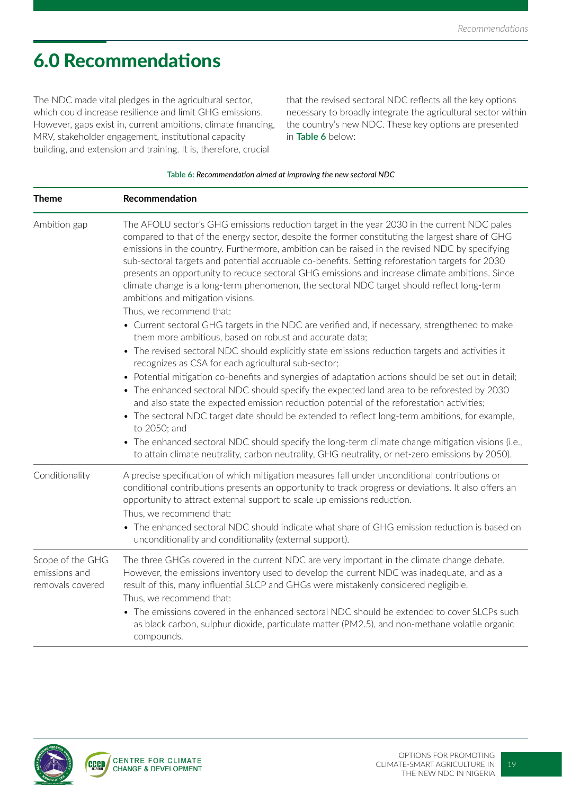# 6.0 Recommendations

The NDC made vital pledges in the agricultural sector, which could increase resilience and limit GHG emissions. However, gaps exist in, current ambitions, climate financing, MRV, stakeholder engagement, institutional capacity building, and extension and training. It is, therefore, crucial

that the revised sectoral NDC reflects all the key options necessary to broadly integrate the agricultural sector within the country's new NDC. These key options are presented in **Table 6** below:

| <b>Theme</b>                                          | Recommendation                                                                                                                                                                                                                                                                                                                                                                                                                                                                                                                                                                                                                                                        |
|-------------------------------------------------------|-----------------------------------------------------------------------------------------------------------------------------------------------------------------------------------------------------------------------------------------------------------------------------------------------------------------------------------------------------------------------------------------------------------------------------------------------------------------------------------------------------------------------------------------------------------------------------------------------------------------------------------------------------------------------|
| Ambition gap                                          | The AFOLU sector's GHG emissions reduction target in the year 2030 in the current NDC pales<br>compared to that of the energy sector, despite the former constituting the largest share of GHG<br>emissions in the country. Furthermore, ambition can be raised in the revised NDC by specifying<br>sub-sectoral targets and potential accruable co-benefits. Setting reforestation targets for 2030<br>presents an opportunity to reduce sectoral GHG emissions and increase climate ambitions. Since<br>climate change is a long-term phenomenon, the sectoral NDC target should reflect long-term<br>ambitions and mitigation visions.<br>Thus, we recommend that: |
|                                                       | • Current sectoral GHG targets in the NDC are verified and, if necessary, strengthened to make<br>them more ambitious, based on robust and accurate data;<br>• The revised sectoral NDC should explicitly state emissions reduction targets and activities it<br>recognizes as CSA for each agricultural sub-sector;                                                                                                                                                                                                                                                                                                                                                  |
|                                                       | • Potential mitigation co-benefits and synergies of adaptation actions should be set out in detail;<br>• The enhanced sectoral NDC should specify the expected land area to be reforested by 2030<br>and also state the expected emission reduction potential of the reforestation activities;<br>• The sectoral NDC target date should be extended to reflect long-term ambitions, for example,<br>to 2050; and<br>• The enhanced sectoral NDC should specify the long-term climate change mitigation visions (i.e.,<br>to attain climate neutrality, carbon neutrality, GHG neutrality, or net-zero emissions by 2050).                                             |
| Conditionality                                        | A precise specification of which mitigation measures fall under unconditional contributions or<br>conditional contributions presents an opportunity to track progress or deviations. It also offers an<br>opportunity to attract external support to scale up emissions reduction.<br>Thus, we recommend that:<br>The enhanced sectoral NDC should indicate what share of GHG emission reduction is based on                                                                                                                                                                                                                                                          |
| Scope of the GHG<br>emissions and<br>removals covered | unconditionality and conditionality (external support).<br>The three GHGs covered in the current NDC are very important in the climate change debate.<br>However, the emissions inventory used to develop the current NDC was inadequate, and as a<br>result of this, many influential SLCP and GHGs were mistakenly considered negligible.<br>Thus, we recommend that:<br>• The emissions covered in the enhanced sectoral NDC should be extended to cover SLCPs such<br>as black carbon, sulphur dioxide, particulate matter (PM2.5), and non-methane volatile organic                                                                                              |



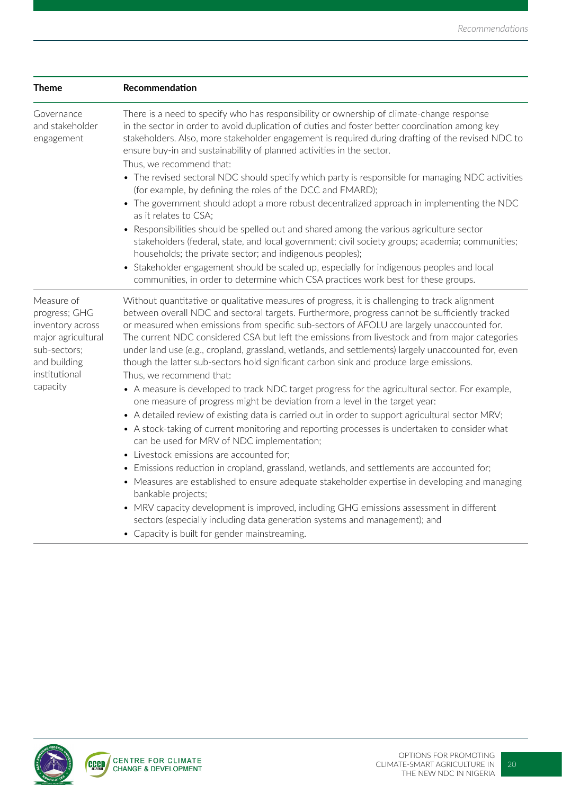| <b>Theme</b>                                                                                                           | Recommendation                                                                                                                                                                                                                                                                                                                                                                                                                                                                                                                                                                                                                                                        |
|------------------------------------------------------------------------------------------------------------------------|-----------------------------------------------------------------------------------------------------------------------------------------------------------------------------------------------------------------------------------------------------------------------------------------------------------------------------------------------------------------------------------------------------------------------------------------------------------------------------------------------------------------------------------------------------------------------------------------------------------------------------------------------------------------------|
| Governance<br>and stakeholder<br>engagement                                                                            | There is a need to specify who has responsibility or ownership of climate-change response<br>in the sector in order to avoid duplication of duties and foster better coordination among key<br>stakeholders. Also, more stakeholder engagement is required during drafting of the revised NDC to<br>ensure buy-in and sustainability of planned activities in the sector.<br>Thus, we recommend that:<br>• The revised sectoral NDC should specify which party is responsible for managing NDC activities<br>(for example, by defining the roles of the DCC and FMARD);<br>• The government should adopt a more robust decentralized approach in implementing the NDC |
|                                                                                                                        | as it relates to CSA;<br>Responsibilities should be spelled out and shared among the various agriculture sector<br>stakeholders (federal, state, and local government; civil society groups; academia; communities;<br>households; the private sector; and indigenous peoples);<br>• Stakeholder engagement should be scaled up, especially for indigenous peoples and local<br>communities, in order to determine which CSA practices work best for these groups.                                                                                                                                                                                                    |
| Measure of<br>progress; GHG<br>inventory across<br>major agricultural<br>sub-sectors;<br>and building<br>institutional | Without quantitative or qualitative measures of progress, it is challenging to track alignment<br>between overall NDC and sectoral targets. Furthermore, progress cannot be sufficiently tracked<br>or measured when emissions from specific sub-sectors of AFOLU are largely unaccounted for.<br>The current NDC considered CSA but left the emissions from livestock and from major categories<br>under land use (e.g., cropland, grassland, wetlands, and settlements) largely unaccounted for, even<br>though the latter sub-sectors hold significant carbon sink and produce large emissions.<br>Thus, we recommend that:                                        |
| capacity                                                                                                               | • A measure is developed to track NDC target progress for the agricultural sector. For example,<br>one measure of progress might be deviation from a level in the target year:<br>• A detailed review of existing data is carried out in order to support agricultural sector MRV;<br>• A stock-taking of current monitoring and reporting processes is undertaken to consider what<br>can be used for MRV of NDC implementation;<br>• Livestock emissions are accounted for;<br>• Emissions reduction in cropland, grassland, wetlands, and settlements are accounted for;                                                                                           |
|                                                                                                                        | • Measures are established to ensure adequate stakeholder expertise in developing and managing<br>bankable projects;<br>• MRV capacity development is improved, including GHG emissions assessment in different<br>sectors (especially including data generation systems and management); and<br>• Capacity is built for gender mainstreaming.                                                                                                                                                                                                                                                                                                                        |

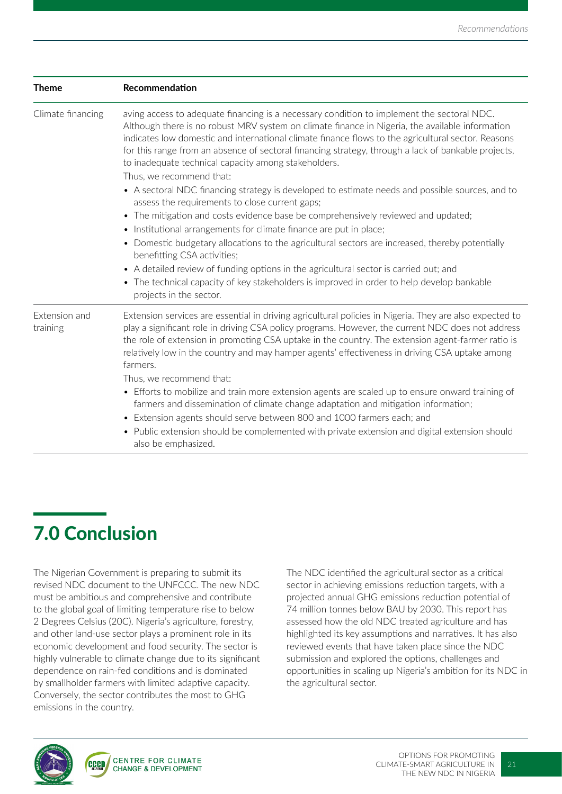| <b>Theme</b>              | Recommendation                                                                                                                                                                                                                                                                                                                                                                                                                                                                                                                                                                                                                                                                                                                                                                                                                                                                                                                                                                                                                                                                                                                                                                |
|---------------------------|-------------------------------------------------------------------------------------------------------------------------------------------------------------------------------------------------------------------------------------------------------------------------------------------------------------------------------------------------------------------------------------------------------------------------------------------------------------------------------------------------------------------------------------------------------------------------------------------------------------------------------------------------------------------------------------------------------------------------------------------------------------------------------------------------------------------------------------------------------------------------------------------------------------------------------------------------------------------------------------------------------------------------------------------------------------------------------------------------------------------------------------------------------------------------------|
| Climate financing         | aving access to adequate financing is a necessary condition to implement the sectoral NDC.<br>Although there is no robust MRV system on climate finance in Nigeria, the available information<br>indicates low domestic and international climate finance flows to the agricultural sector. Reasons<br>for this range from an absence of sectoral financing strategy, through a lack of bankable projects,<br>to inadequate technical capacity among stakeholders.<br>Thus, we recommend that:<br>• A sectoral NDC financing strategy is developed to estimate needs and possible sources, and to<br>assess the requirements to close current gaps;<br>• The mitigation and costs evidence base be comprehensively reviewed and updated;<br>• Institutional arrangements for climate finance are put in place;<br>Domestic budgetary allocations to the agricultural sectors are increased, thereby potentially<br>$\bullet$<br>benefitting CSA activities;<br>• A detailed review of funding options in the agricultural sector is carried out; and<br>• The technical capacity of key stakeholders is improved in order to help develop bankable<br>projects in the sector. |
| Extension and<br>training | Extension services are essential in driving agricultural policies in Nigeria. They are also expected to<br>play a significant role in driving CSA policy programs. However, the current NDC does not address<br>the role of extension in promoting CSA uptake in the country. The extension agent-farmer ratio is<br>relatively low in the country and may hamper agents' effectiveness in driving CSA uptake among<br>farmers.<br>Thus, we recommend that:<br>• Efforts to mobilize and train more extension agents are scaled up to ensure onward training of<br>farmers and dissemination of climate change adaptation and mitigation information;<br>• Extension agents should serve between 800 and 1000 farmers each; and<br>Public extension should be complemented with private extension and digital extension should<br>$\bullet$<br>also be emphasized.                                                                                                                                                                                                                                                                                                            |

# 7.0 Conclusion

The Nigerian Government is preparing to submit its revised NDC document to the UNFCCC. The new NDC must be ambitious and comprehensive and contribute to the global goal of limiting temperature rise to below 2 Degrees Celsius (20C). Nigeria's agriculture, forestry, and other land-use sector plays a prominent role in its economic development and food security. The sector is highly vulnerable to climate change due to its significant dependence on rain-fed conditions and is dominated by smallholder farmers with limited adaptive capacity. Conversely, the sector contributes the most to GHG emissions in the country.

The NDC identified the agricultural sector as a critical sector in achieving emissions reduction targets, with a projected annual GHG emissions reduction potential of 74 million tonnes below BAU by 2030. This report has assessed how the old NDC treated agriculture and has highlighted its key assumptions and narratives. It has also reviewed events that have taken place since the NDC submission and explored the options, challenges and opportunities in scaling up Nigeria's ambition for its NDC in the agricultural sector.

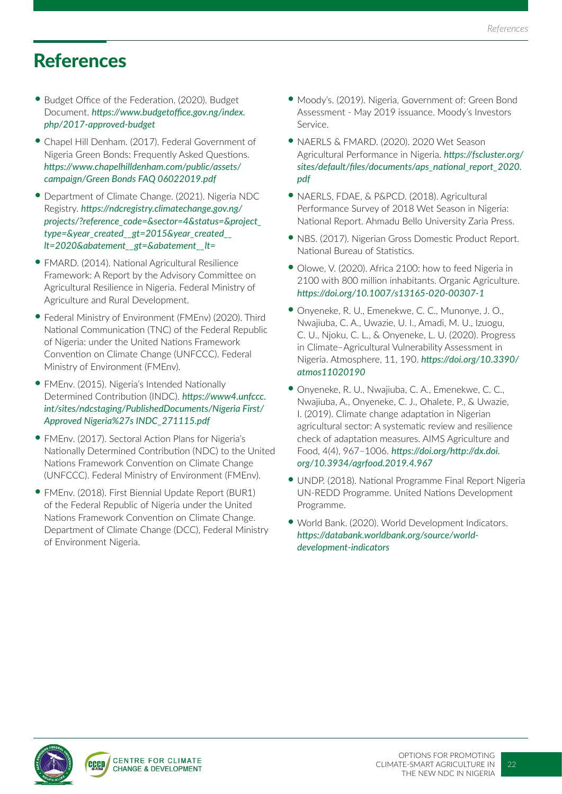### References

- Budget Office of the Federation. (2020). Budget Document. *https://www.budgetoffice.gov.ng/index. php/2017-approved-budget*
- Chapel Hill Denham. (2017). Federal Government of Nigeria Green Bonds: Frequently Asked Questions. *https://www.chapelhilldenham.com/public/assets/ campaign/Green Bonds FAQ 06022019.pdf*
- Department of Climate Change. (2021). Nigeria NDC Registry. *https://ndcregistry.climatechange.gov.ng/ projects/?reference\_code=&sector=4&status=&project\_ type=&year\_created\_\_gt=2015&year\_created\_\_ lt=2020&abatement\_\_gt=&abatement\_\_lt=*
- •FMARD. (2014). National Agricultural Resilience Framework: A Report by the Advisory Committee on Agricultural Resilience in Nigeria. Federal Ministry of Agriculture and Rural Development.
- Federal Ministry of Environment (FMEnv) (2020). Third National Communication (TNC) of the Federal Republic of Nigeria: under the United Nations Framework Convention on Climate Change (UNFCCC). Federal Ministry of Environment (FMEnv).
- •FMEnv. (2015). Nigeria's Intended Nationally Determined Contribution (INDC). *https://www4.unfccc. int/sites/ndcstaging/PublishedDocuments/Nigeria First/ Approved Nigeria%27s INDC\_271115.pdf*
- •FMEnv. (2017). Sectoral Action Plans for Nigeria's Nationally Determined Contribution (NDC) to the United Nations Framework Convention on Climate Change (UNFCCC). Federal Ministry of Environment (FMEnv).
- •FMEnv. (2018). First Biennial Update Report (BUR1) of the Federal Republic of Nigeria under the United Nations Framework Convention on Climate Change. Department of Climate Change (DCC), Federal Ministry of Environment Nigeria.
- Moody's. (2019). Nigeria, Government of: Green Bond Assessment - May 2019 issuance. Moody's Investors Service.
- NAERLS & FMARD. (2020). 2020 Wet Season Agricultural Performance in Nigeria. *https://fscluster.org/ sites/default/files/documents/aps\_national\_report\_2020. pdf*
- NAERLS, FDAE, & P&PCD. (2018). Agricultural Performance Survey of 2018 Wet Season in Nigeria: National Report. Ahmadu Bello University Zaria Press.
- NBS. (2017). Nigerian Gross Domestic Product Report. National Bureau of Statistics.
- Olowe, V. (2020). Africa 2100: how to feed Nigeria in 2100 with 800 million inhabitants. Organic Agriculture. *https://doi.org/10.1007/s13165-020-00307-1*
- Onyeneke, R. U., Emenekwe, C. C., Munonye, J. O., Nwajiuba, C. A., Uwazie, U. I., Amadi, M. U., Izuogu, C. U., Njoku, C. L., & Onyeneke, L. U. (2020). Progress in Climate–Agricultural Vulnerability Assessment in Nigeria. Atmosphere, 11, 190. *https://doi.org/10.3390/ atmos11020190*
- Onyeneke, R. U., Nwajiuba, C. A., Emenekwe, C. C., Nwajiuba, A., Onyeneke, C. J., Ohalete, P., & Uwazie, I. (2019). Climate change adaptation in Nigerian agricultural sector: A systematic review and resilience check of adaptation measures. AIMS Agriculture and Food, 4(4), 967–1006. *https://doi.org/http://dx.doi. org/10.3934/agrfood.2019.4.967*
- UNDP. (2018). National Programme Final Report Nigeria UN-REDD Programme. United Nations Development Programme.
- World Bank. (2020). World Development Indicators. *https://databank.worldbank.org/source/worlddevelopment-indicators*

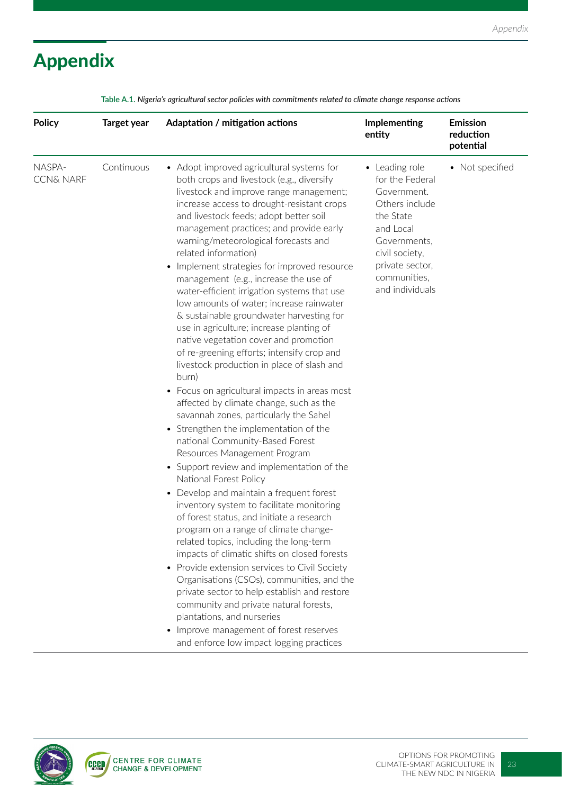# Appendix

| <b>Policy</b>                  | <b>Target year</b> | Adaptation / mitigation actions                                                                                                                                                                                                                                                                                                                                                                                                                                                                                                                                                                                                                                                                                                                                                                                                                                                                                                                                                                                                                                                                                                                                                                                                                       | Implementing<br>entity                                                                                                                                                               | <b>Emission</b><br>reduction<br>potential |
|--------------------------------|--------------------|-------------------------------------------------------------------------------------------------------------------------------------------------------------------------------------------------------------------------------------------------------------------------------------------------------------------------------------------------------------------------------------------------------------------------------------------------------------------------------------------------------------------------------------------------------------------------------------------------------------------------------------------------------------------------------------------------------------------------------------------------------------------------------------------------------------------------------------------------------------------------------------------------------------------------------------------------------------------------------------------------------------------------------------------------------------------------------------------------------------------------------------------------------------------------------------------------------------------------------------------------------|--------------------------------------------------------------------------------------------------------------------------------------------------------------------------------------|-------------------------------------------|
| NASPA-<br><b>CCN&amp; NARF</b> | Continuous         | • Adopt improved agricultural systems for<br>both crops and livestock (e.g., diversify<br>livestock and improve range management;<br>increase access to drought-resistant crops<br>and livestock feeds; adopt better soil<br>management practices; and provide early<br>warning/meteorological forecasts and<br>related information)<br>Implement strategies for improved resource<br>$\bullet$<br>management (e.g., increase the use of<br>water-efficient irrigation systems that use<br>low amounts of water; increase rainwater<br>& sustainable groundwater harvesting for<br>use in agriculture; increase planting of<br>native vegetation cover and promotion<br>of re-greening efforts; intensify crop and<br>livestock production in place of slash and<br>burn)<br>• Focus on agricultural impacts in areas most<br>affected by climate change, such as the<br>savannah zones, particularly the Sahel<br>• Strengthen the implementation of the<br>national Community-Based Forest<br>Resources Management Program<br>• Support review and implementation of the<br>National Forest Policy<br>Develop and maintain a frequent forest<br>$\bullet$<br>inventory system to facilitate monitoring<br>of forest status, and initiate a research | • Leading role<br>for the Federal<br>Government.<br>Others include<br>the State<br>and Local<br>Governments,<br>civil society,<br>private sector,<br>communities,<br>and individuals | • Not specified                           |
|                                |                    | program on a range of climate change-<br>related topics, including the long-term<br>impacts of climatic shifts on closed forests<br>Provide extension services to Civil Society<br>Organisations (CSOs), communities, and the                                                                                                                                                                                                                                                                                                                                                                                                                                                                                                                                                                                                                                                                                                                                                                                                                                                                                                                                                                                                                         |                                                                                                                                                                                      |                                           |
|                                |                    | private sector to help establish and restore<br>community and private natural forests,<br>plantations, and nurseries<br>Improve management of forest reserves<br>and enforce low impact logging practices                                                                                                                                                                                                                                                                                                                                                                                                                                                                                                                                                                                                                                                                                                                                                                                                                                                                                                                                                                                                                                             |                                                                                                                                                                                      |                                           |

**Table A.1.** *Nigeria's agricultural sector policies with commitments related to climate change response actions*